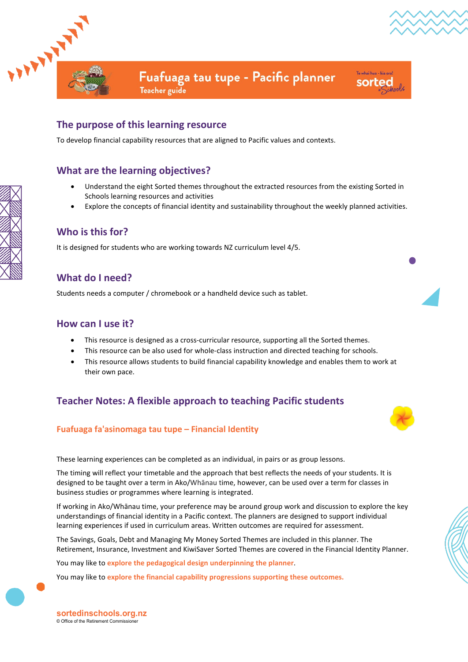



.<br>Te whai hua - kia ora sorted

Fuafuaga tau tupe - Pacific planner

**Teacher** guide

# **The purpose of this learning resource**

To develop financial capability resources that are aligned to Pacific values and contexts.

# **What are the learning objectives?**

- Understand the eight Sorted themes throughout the extracted resources from the existing Sorted in Schools learning resources and activities
- Explore the concepts of financial identity and sustainability throughout the weekly planned activities.

## **Who is this for?**

It is designed for students who are working towards NZ curriculum level 4/5.

# **What do I need?**

Students needs a computer / chromebook or a handheld device such as tablet.

## **How can I use it?**

- This resource is designed as a cross-curricular resource, supporting all the Sorted themes.
- This resource can be also used for whole-class instruction and directed teaching for schools.
- This resource allows students to build financial capability knowledge and enables them to work at their own pace.

# **Teacher Notes: A flexible approach to teaching Pacific students**

### **Fuafuaga fa'asinomaga tau tupe – Financial Identity**



The timing will reflect your timetable and the approach that best reflects the needs of your students. It is designed to be taught over a term in Ako/Whānau time, however, can be used over a term for classes in business studies or programmes where learning is integrated.

If working in Ako/Whānau time, your preference may be around group work and discussion to explore the key understandings of financial identity in a Pacific context. The planners are designed to support individual learning experiences if used in curriculum areas. Written outcomes are required for assessment.

The Savings, Goals, Debt and Managing My Money Sorted Themes are included in this planner. The Retirement, Insurance, Investment and KiwiSaver Sorted Themes are covered in the Financial Identity Planner.

You may like to **[explore the pedagogical design underpinning the planner](https://sortedinschools.org.nz/teachers/curriculum-info/pedagogical-design)**.

You may like to **[explore the financial capability progressions supporting these outcomes.](https://nzcurriculum.tki.org.nz/Curriculum-resources/Financial-capability/Financial-capability-progressions)**